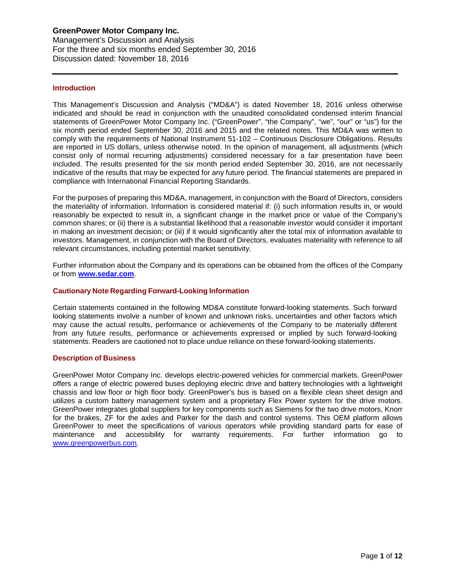## **Introduction**

This Management's Discussion and Analysis ("MD&A") is dated November 18, 2016 unless otherwise indicated and should be read in conjunction with the unaudited consolidated condensed interim financial statements of GreenPower Motor Company Inc. ("GreenPower", "the Company", "we", "our" or "us") for the six month period ended September 30, 2016 and 2015 and the related notes. This MD&A was written to comply with the requirements of National Instrument 51-102 – Continuous Disclosure Obligations. Results are reported in US dollars, unless otherwise noted. In the opinion of management, all adjustments (which consist only of normal recurring adjustments) considered necessary for a fair presentation have been included. The results presented for the six month period ended September 30, 2016, are not necessarily indicative of the results that may be expected for any future period. The financial statements are prepared in compliance with International Financial Reporting Standards.

For the purposes of preparing this MD&A, management, in conjunction with the Board of Directors, considers the materiality of information. Information is considered material if: (i) such information results in, or would reasonably be expected to result in, a significant change in the market price or value of the Company's common shares; or (ii) there is a substantial likelihood that a reasonable investor would consider it important in making an investment decision; or (iii) if it would significantly alter the total mix of information available to investors. Management, in conjunction with the Board of Directors, evaluates materiality with reference to all relevant circumstances, including potential market sensitivity.

Further information about the Company and its operations can be obtained from the offices of the Company or from **[www.sedar.com](http://www.sedar.com/)**.

#### **Cautionary Note Regarding Forward-Looking Information**

Certain statements contained in the following MD&A constitute forward-looking statements. Such forward looking statements involve a number of known and unknown risks, uncertainties and other factors which may cause the actual results, performance or achievements of the Company to be materially different from any future results, performance or achievements expressed or implied by such forward-looking statements. Readers are cautioned not to place undue reliance on these forward-looking statements.

#### **Description of Business**

GreenPower Motor Company Inc. develops electric-powered vehicles for commercial markets. GreenPower offers a range of electric powered buses deploying electric drive and battery technologies with a lightweight chassis and low floor or high floor body. GreenPower's bus is based on a flexible clean sheet design and utilizes a custom battery management system and a proprietary Flex Power system for the drive motors. GreenPower integrates global suppliers for key components such as Siemens for the two drive motors, Knorr for the brakes, ZF for the axles and Parker for the dash and control systems. This OEM platform allows GreenPower to meet the specifications of various operators while providing standard parts for ease of maintenance and accessibility for warranty requirements. For further information go to [www.greenpowerbus.com.](http://www.greenpowerbus.com/)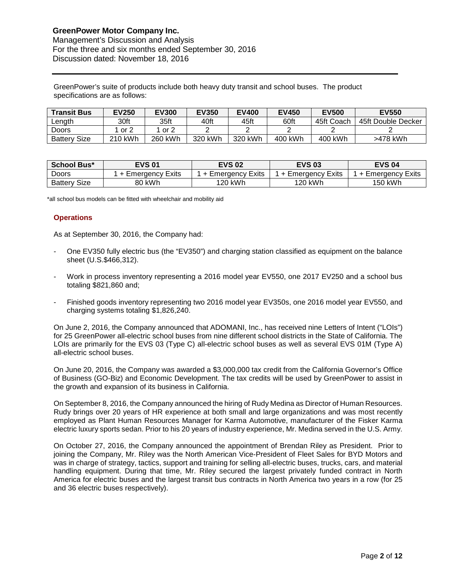GreenPower's suite of products include both heavy duty transit and school buses. The product specifications are as follows:

| <b>Transit Bus</b>  | <b>EV250</b> | <b>EV300</b> | <b>EV350</b> | <b>EV400</b> | <b>EV450</b> | <b>EV500</b> | <b>EV550</b>       |
|---------------------|--------------|--------------|--------------|--------------|--------------|--------------|--------------------|
| Length              | 30ft         | 35ft         | 40ft         | 45ft         | 60ft         | 45ft Coach   | 45ft Double Decker |
| Doors               | or 2         | or $2$       |              |              |              |              |                    |
| <b>Battery Size</b> | 210 kWh      | 260 kWh      | 320 kWh      | 320 kWh      | 400 kWh      | 400 kWh      | >478 kWh           |

| <b>School Bus*</b>  | <b>EVS 01</b>     | <b>EVS 02</b>        | <b>EVS 03</b>     | <b>EVS 04</b>     |
|---------------------|-------------------|----------------------|-------------------|-------------------|
| Doors               | + Emergency Exits | Exits<br>+ Emergency | + Emergency Exits | ⊦ Emergency Exits |
| <b>Battery Size</b> | 80 kWh            | 120 kWh              | 120 kWh           | 150 kWh           |

\*all school bus models can be fitted with wheelchair and mobility aid

# **Operations**

As at September 30, 2016, the Company had:

- One EV350 fully electric bus (the "EV350") and charging station classified as equipment on the balance sheet (U.S.\$466,312).
- Work in process inventory representing a 2016 model year EV550, one 2017 EV250 and a school bus totaling \$821,860 and;
- Finished goods inventory representing two 2016 model year EV350s, one 2016 model year EV550, and charging systems totaling \$1,826,240.

On June 2, 2016, the Company announced that ADOMANI, Inc., has received nine Letters of Intent ("LOIs") for 25 GreenPower all-electric school buses from nine different school districts in the State of California. The LOIs are primarily for the EVS 03 (Type C) all-electric school buses as well as several EVS 01M (Type A) all-electric school buses.

On June 20, 2016, the Company was awarded a \$3,000,000 tax credit from the California Governor's Office of Business (GO-Biz) and Economic Development. The tax credits will be used by GreenPower to assist in the growth and expansion of its business in California.

On September 8, 2016, the Company announced the hiring of Rudy Medina as Director of Human Resources. Rudy brings over 20 years of HR experience at both small and large organizations and was most recently employed as Plant Human Resources Manager for Karma Automotive, manufacturer of the Fisker Karma electric luxury sports sedan. Prior to his 20 years of industry experience, Mr. Medina served in the U.S. Army.

On October 27, 2016, the Company announced the appointment of Brendan Riley as President. Prior to joining the Company, Mr. Riley was the North American Vice-President of Fleet Sales for BYD Motors and was in charge of strategy, tactics, support and training for selling all-electric buses, trucks, cars, and material handling equipment. During that time, Mr. Riley secured the largest privately funded contract in North America for electric buses and the largest transit bus contracts in North America two years in a row (for 25 and 36 electric buses respectively).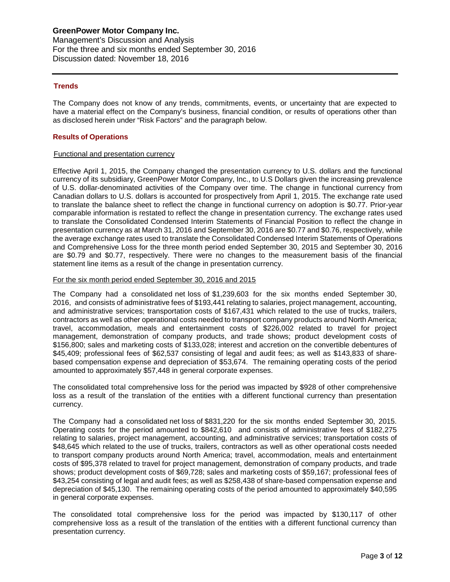# **Trends**

The Company does not know of any trends, commitments, events, or uncertainty that are expected to have a material effect on the Company's business, financial condition, or results of operations other than as disclosed herein under "Risk Factors" and the paragraph below.

## **Results of Operations**

#### Functional and presentation currency

Effective April 1, 2015, the Company changed the presentation currency to U.S. dollars and the functional currency of its subsidiary, GreenPower Motor Company, Inc., to U.S Dollars given the increasing prevalence of U.S. dollar-denominated activities of the Company over time. The change in functional currency from Canadian dollars to U.S. dollars is accounted for prospectively from April 1, 2015. The exchange rate used to translate the balance sheet to reflect the change in functional currency on adoption is \$0.77. Prior-year comparable information is restated to reflect the change in presentation currency. The exchange rates used to translate the Consolidated Condensed Interim Statements of Financial Position to reflect the change in presentation currency as at March 31, 2016 and September 30, 2016 are \$0.77 and \$0.76, respectively, while the average exchange rates used to translate the Consolidated Condensed Interim Statements of Operations and Comprehensive Loss for the three month period ended September 30, 2015 and September 30, 2016 are \$0.79 and \$0.77, respectively. There were no changes to the measurement basis of the financial statement line items as a result of the change in presentation currency.

#### For the six month period ended September 30, 2016 and 2015

The Company had a consolidated net loss of \$1,239,603 for the six months ended September 30, 2016, and consists of administrative fees of \$193,441 relating to salaries, project management, accounting, and administrative services; transportation costs of \$167,431 which related to the use of trucks, trailers, contractors as well as other operational costs needed to transport company products around North America; travel, accommodation, meals and entertainment costs of \$226,002 related to travel for project management, demonstration of company products, and trade shows; product development costs of \$156,800; sales and marketing costs of \$133,028; interest and accretion on the convertible debentures of \$45,409; professional fees of \$62,537 consisting of legal and audit fees; as well as \$143,833 of sharebased compensation expense and depreciation of \$53,674. The remaining operating costs of the period amounted to approximately \$57,448 in general corporate expenses.

The consolidated total comprehensive loss for the period was impacted by \$928 of other comprehensive loss as a result of the translation of the entities with a different functional currency than presentation currency.

The Company had a consolidated net loss of \$831,220 for the six months ended September 30, 2015. Operating costs for the period amounted to \$842,610 and consists of administrative fees of \$182,275 relating to salaries, project management, accounting, and administrative services; transportation costs of \$48,645 which related to the use of trucks, trailers, contractors as well as other operational costs needed to transport company products around North America; travel, accommodation, meals and entertainment costs of \$95,378 related to travel for project management, demonstration of company products, and trade shows; product development costs of \$69,728; sales and marketing costs of \$59,167; professional fees of \$43,254 consisting of legal and audit fees; as well as \$258,438 of share-based compensation expense and depreciation of \$45,130. The remaining operating costs of the period amounted to approximately \$40,595 in general corporate expenses.

The consolidated total comprehensive loss for the period was impacted by \$130,117 of other comprehensive loss as a result of the translation of the entities with a different functional currency than presentation currency.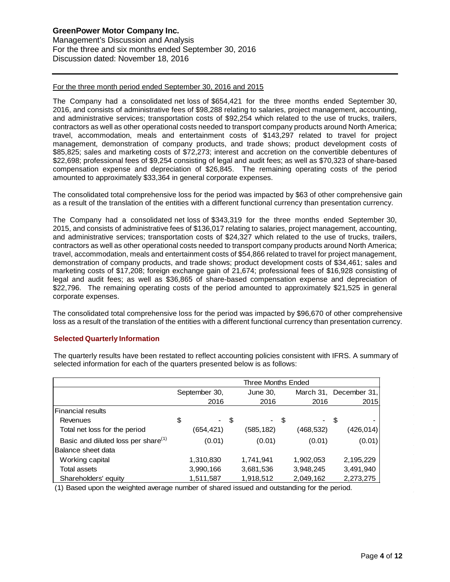For the three month period ended September 30, 2016 and 2015

The Company had a consolidated net loss of \$654,421 for the three months ended September 30, 2016, and consists of administrative fees of \$98,288 relating to salaries, project management, accounting, and administrative services; transportation costs of \$92,254 which related to the use of trucks, trailers, contractors as well as other operational costs needed to transport company products around North America; travel, accommodation, meals and entertainment costs of \$143,297 related to travel for project management, demonstration of company products, and trade shows; product development costs of \$85,825; sales and marketing costs of \$72,273; interest and accretion on the convertible debentures of \$22,698; professional fees of \$9,254 consisting of legal and audit fees; as well as \$70,323 of share-based compensation expense and depreciation of \$26,845. The remaining operating costs of the period amounted to approximately \$33,364 in general corporate expenses.

The consolidated total comprehensive loss for the period was impacted by \$63 of other comprehensive gain as a result of the translation of the entities with a different functional currency than presentation currency.

The Company had a consolidated net loss of \$343,319 for the three months ended September 30, 2015, and consists of administrative fees of \$136,017 relating to salaries, project management, accounting, and administrative services; transportation costs of \$24,327 which related to the use of trucks, trailers, contractors as well as other operational costs needed to transport company products around North America; travel, accommodation, meals and entertainment costs of \$54,866 related to travel for project management, demonstration of company products, and trade shows; product development costs of \$34,461; sales and marketing costs of \$17,208; foreign exchange gain of 21,674; professional fees of \$16,928 consisting of legal and audit fees; as well as \$36,865 of share-based compensation expense and depreciation of \$22,796. The remaining operating costs of the period amounted to approximately \$21,525 in general corporate expenses.

The consolidated total comprehensive loss for the period was impacted by \$96,670 of other comprehensive loss as a result of the translation of the entities with a different functional currency than presentation currency.

# **Selected Quarterly Information**

|                                                 | Three Months Ended |           |           |                        |  |  |  |
|-------------------------------------------------|--------------------|-----------|-----------|------------------------|--|--|--|
|                                                 | September 30,      | June 30,  |           | March 31, December 31, |  |  |  |
|                                                 | 2016               | 2016      | 2016      | 2015                   |  |  |  |
| <b>Financial results</b>                        |                    |           |           |                        |  |  |  |
| Revenues                                        | \$                 | - \$      | - \$      | - \$                   |  |  |  |
| Total net loss for the period                   | (654,421)          | (585,182) | (468,532) | (426, 014)             |  |  |  |
| Basic and diluted loss per share <sup>(1)</sup> | (0.01)             | (0.01)    | (0.01)    | (0.01)                 |  |  |  |
| Balance sheet data                              |                    |           |           |                        |  |  |  |
| Working capital                                 | 1,310,830          | 1,741,941 | 1,902,053 | 2,195,229              |  |  |  |
| Total assets                                    | 3,990,166          | 3,681,536 | 3,948,245 | 3,491,940              |  |  |  |
| Shareholders' equity                            | 1,511,587          | 1,918,512 | 2,049,162 | 2,273,275              |  |  |  |

The quarterly results have been restated to reflect accounting policies consistent with IFRS. A summary of selected information for each of the quarters presented below is as follows:

(1) Based upon the weighted average number of shared issued and outstanding for the period.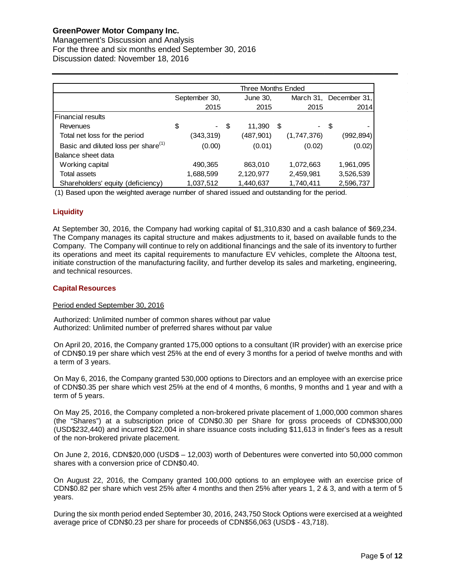Management's Discussion and Analysis For the three and six months ended September 30, 2016 Discussion dated: November 18, 2016

|                                                 | Three Months Ended |           |  |           |    |                          |                        |           |
|-------------------------------------------------|--------------------|-----------|--|-----------|----|--------------------------|------------------------|-----------|
|                                                 | September 30,      |           |  | June 30,  |    |                          | March 31, December 31, |           |
|                                                 |                    | 2015      |  | 2015      |    | 2015                     |                        | 2014      |
| <b>Financial results</b>                        |                    |           |  |           |    |                          |                        |           |
| Revenues                                        | \$                 | - \$      |  | 11,390    | \$ | $\overline{\phantom{0}}$ | - \$                   |           |
| Total net loss for the period                   |                    | (343,319) |  | (487,901) |    | (1,747,376)              |                        | (992,894) |
| Basic and diluted loss per share <sup>(1)</sup> |                    | (0.00)    |  | (0.01)    |    | (0.02)                   |                        | (0.02)    |
| Balance sheet data                              |                    |           |  |           |    |                          |                        |           |
| Working capital                                 |                    | 490,365   |  | 863,010   |    | 1,072,663                |                        | 1,961,095 |
| Total assets                                    |                    | 1,688,599 |  | 2,120,977 |    | 2,459,981                |                        | 3,526,539 |
| Shareholders' equity (deficiency)               |                    | 1,037,512 |  | 1,440,637 |    | 1,740,411                |                        | 2,596,737 |

(1) Based upon the weighted average number of shared issued and outstanding for the period.

# **Liquidity**

At September 30, 2016, the Company had working capital of \$1,310,830 and a cash balance of \$69,234. The Company manages its capital structure and makes adjustments to it, based on available funds to the Company. The Company will continue to rely on additional financings and the sale of its inventory to further its operations and meet its capital requirements to manufacture EV vehicles, complete the Altoona test, initiate construction of the manufacturing facility, and further develop its sales and marketing, engineering, and technical resources.

# **Capital Resources**

# Period ended September 30, 2016

Authorized: Unlimited number of common shares without par value Authorized: Unlimited number of preferred shares without par value

On April 20, 2016, the Company granted 175,000 options to a consultant (IR provider) with an exercise price of CDN\$0.19 per share which vest 25% at the end of every 3 months for a period of twelve months and with a term of 3 years.

On May 6, 2016, the Company granted 530,000 options to Directors and an employee with an exercise price of CDN\$0.35 per share which vest 25% at the end of 4 months, 6 months, 9 months and 1 year and with a term of 5 years.

On May 25, 2016, the Company completed a non-brokered private placement of 1,000,000 common shares (the "Shares") at a subscription price of CDN\$0.30 per Share for gross proceeds of CDN\$300,000 (USD\$232,440) and incurred \$22,004 in share issuance costs including \$11,613 in finder's fees as a result of the non-brokered private placement.

On June 2, 2016, CDN\$20,000 (USD\$ – 12,003) worth of Debentures were converted into 50,000 common shares with a conversion price of CDN\$0.40.

On August 22, 2016, the Company granted 100,000 options to an employee with an exercise price of CDN\$0.82 per share which vest 25% after 4 months and then 25% after years 1, 2 & 3, and with a term of 5 years.

During the six month period ended September 30, 2016, 243,750 Stock Options were exercised at a weighted average price of CDN\$0.23 per share for proceeds of CDN\$56,063 (USD\$ - 43,718).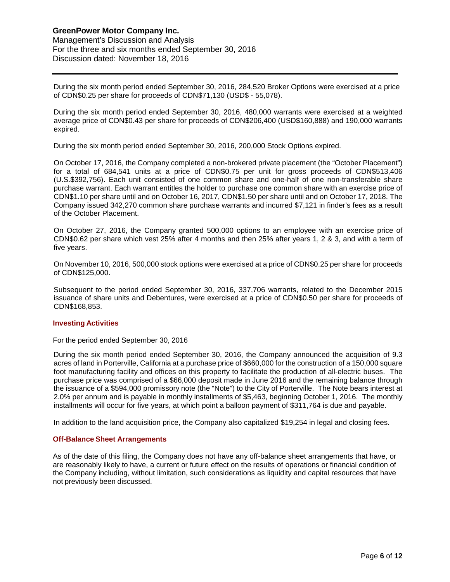During the six month period ended September 30, 2016, 284,520 Broker Options were exercised at a price of CDN\$0.25 per share for proceeds of CDN\$71,130 (USD\$ - 55,078).

During the six month period ended September 30, 2016, 480,000 warrants were exercised at a weighted average price of CDN\$0.43 per share for proceeds of CDN\$206,400 (USD\$160,888) and 190,000 warrants expired.

During the six month period ended September 30, 2016, 200,000 Stock Options expired.

On October 17, 2016, the Company completed a non-brokered private placement (the "October Placement") for a total of 684,541 units at a price of CDN\$0.75 per unit for gross proceeds of CDN\$513,406 (U.S.\$392,756). Each unit consisted of one common share and one-half of one non-transferable share purchase warrant. Each warrant entitles the holder to purchase one common share with an exercise price of CDN\$1.10 per share until and on October 16, 2017, CDN\$1.50 per share until and on October 17, 2018. The Company issued 342,270 common share purchase warrants and incurred \$7,121 in finder's fees as a result of the October Placement.

On October 27, 2016, the Company granted 500,000 options to an employee with an exercise price of CDN\$0.62 per share which vest 25% after 4 months and then 25% after years 1, 2 & 3, and with a term of five years.

On November 10, 2016, 500,000 stock options were exercised at a price of CDN\$0.25 per share for proceeds of CDN\$125,000.

Subsequent to the period ended September 30, 2016, 337,706 warrants, related to the December 2015 issuance of share units and Debentures, were exercised at a price of CDN\$0.50 per share for proceeds of CDN\$168,853.

# **Investing Activities**

#### For the period ended September 30, 2016

During the six month period ended September 30, 2016, the Company announced the acquisition of 9.3 acres of land in Porterville, California at a purchase price of \$660,000 for the construction of a 150,000 square foot manufacturing facility and offices on this property to facilitate the production of all-electric buses. The purchase price was comprised of a \$66,000 deposit made in June 2016 and the remaining balance through the issuance of a \$594,000 promissory note (the "Note") to the City of Porterville. The Note bears interest at 2.0% per annum and is payable in monthly installments of \$5,463, beginning October 1, 2016. The monthly installments will occur for five years, at which point a balloon payment of \$311,764 is due and payable.

In addition to the land acquisition price, the Company also capitalized \$19,254 in legal and closing fees.

#### **Off-Balance Sheet Arrangements**

As of the date of this filing, the Company does not have any off-balance sheet arrangements that have, or are reasonably likely to have, a current or future effect on the results of operations or financial condition of the Company including, without limitation, such considerations as liquidity and capital resources that have not previously been discussed.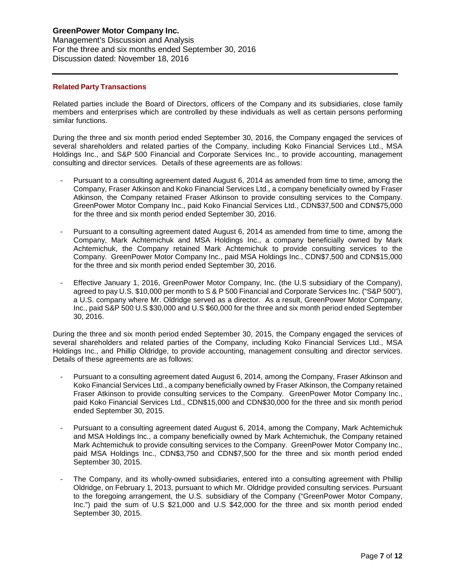Management's Discussion and Analysis For the three and six months ended September 30, 2016 Discussion dated: November 18, 2016

# **Related Party Transactions**

Related parties include the Board of Directors, officers of the Company and its subsidiaries, close family members and enterprises which are controlled by these individuals as well as certain persons performing similar functions.

During the three and six month period ended September 30, 2016, the Company engaged the services of several shareholders and related parties of the Company, including Koko Financial Services Ltd., MSA Holdings Inc., and S&P 500 Financial and Corporate Services Inc., to provide accounting, management consulting and director services. Details of these agreements are as follows:

- Pursuant to a consulting agreement dated August 6, 2014 as amended from time to time, among the Company, Fraser Atkinson and Koko Financial Services Ltd., a company beneficially owned by Fraser Atkinson, the Company retained Fraser Atkinson to provide consulting services to the Company. GreenPower Motor Company Inc., paid Koko Financial Services Ltd., CDN\$37,500 and CDN\$75,000 for the three and six month period ended September 30, 2016.
- Pursuant to a consulting agreement dated August 6, 2014 as amended from time to time, among the Company, Mark Achtemichuk and MSA Holdings Inc., a company beneficially owned by Mark Achtemichuk, the Company retained Mark Achtemichuk to provide consulting services to the Company. GreenPower Motor Company Inc., paid MSA Holdings Inc., CDN\$7,500 and CDN\$15,000 for the three and six month period ended September 30, 2016.
- Effective January 1, 2016, GreenPower Motor Company, Inc. (the U.S subsidiary of the Company), agreed to pay U.S. \$10,000 per month to S & P 500 Financial and Corporate Services Inc. ("S&P 500"), a U.S. company where Mr. Oldridge served as a director. As a result, GreenPower Motor Company, Inc., paid S&P 500 U.S \$30,000 and U.S \$60,000 for the three and six month period ended September 30, 2016.

During the three and six month period ended September 30, 2015, the Company engaged the services of several shareholders and related parties of the Company, including Koko Financial Services Ltd., MSA Holdings Inc., and Phillip Oldridge, to provide accounting, management consulting and director services. Details of these agreements are as follows:

- Pursuant to a consulting agreement dated August 6, 2014, among the Company, Fraser Atkinson and Koko Financial Services Ltd., a company beneficially owned by Fraser Atkinson, the Company retained Fraser Atkinson to provide consulting services to the Company. GreenPower Motor Company Inc., paid Koko Financial Services Ltd., CDN\$15,000 and CDN\$30,000 for the three and six month period ended September 30, 2015.
- Pursuant to a consulting agreement dated August 6, 2014, among the Company, Mark Achtemichuk and MSA Holdings Inc., a company beneficially owned by Mark Achtemichuk, the Company retained Mark Achtemichuk to provide consulting services to the Company. GreenPower Motor Company Inc., paid MSA Holdings Inc., CDN\$3,750 and CDN\$7,500 for the three and six month period ended September 30, 2015.
- The Company, and its wholly-owned subsidiaries, entered into a consulting agreement with Phillip Oldridge, on February 1, 2013, pursuant to which Mr. Oldridge provided consulting services. Pursuant to the foregoing arrangement, the U.S. subsidiary of the Company ("GreenPower Motor Company, Inc.") paid the sum of U.S \$21,000 and U.S \$42,000 for the three and six month period ended September 30, 2015.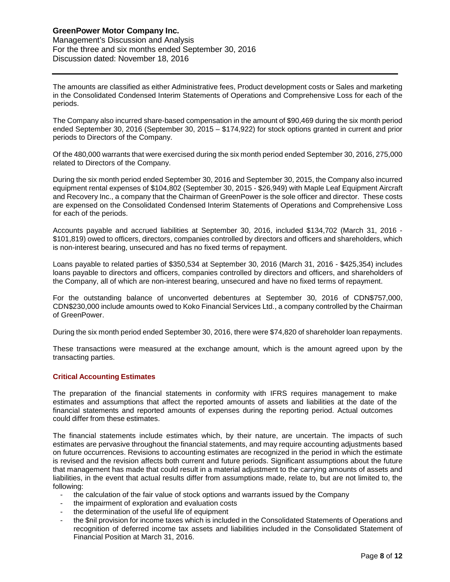Management's Discussion and Analysis For the three and six months ended September 30, 2016 Discussion dated: November 18, 2016

The amounts are classified as either Administrative fees, Product development costs or Sales and marketing in the Consolidated Condensed Interim Statements of Operations and Comprehensive Loss for each of the periods.

The Company also incurred share-based compensation in the amount of \$90,469 during the six month period ended September 30, 2016 (September 30, 2015 – \$174,922) for stock options granted in current and prior periods to Directors of the Company.

Of the 480,000 warrants that were exercised during the six month period ended September 30, 2016, 275,000 related to Directors of the Company.

During the six month period ended September 30, 2016 and September 30, 2015, the Company also incurred equipment rental expenses of \$104,802 (September 30, 2015 - \$26,949) with Maple Leaf Equipment Aircraft and Recovery Inc., a company that the Chairman of GreenPower is the sole officer and director. These costs are expensed on the Consolidated Condensed Interim Statements of Operations and Comprehensive Loss for each of the periods.

Accounts payable and accrued liabilities at September 30, 2016, included \$134,702 (March 31, 2016 - \$101,819) owed to officers, directors, companies controlled by directors and officers and shareholders, which is non-interest bearing, unsecured and has no fixed terms of repayment.

Loans payable to related parties of \$350,534 at September 30, 2016 (March 31, 2016 - \$425,354) includes loans payable to directors and officers, companies controlled by directors and officers, and shareholders of the Company, all of which are non-interest bearing, unsecured and have no fixed terms of repayment.

For the outstanding balance of unconverted debentures at September 30, 2016 of CDN\$757,000, CDN\$230,000 include amounts owed to Koko Financial Services Ltd., a company controlled by the Chairman of GreenPower.

During the six month period ended September 30, 2016, there were \$74,820 of shareholder loan repayments.

These transactions were measured at the exchange amount, which is the amount agreed upon by the transacting parties.

# **Critical Accounting Estimates**

The preparation of the financial statements in conformity with IFRS requires management to make estimates and assumptions that affect the reported amounts of assets and liabilities at the date of the financial statements and reported amounts of expenses during the reporting period. Actual outcomes could differ from these estimates.

The financial statements include estimates which, by their nature, are uncertain. The impacts of such estimates are pervasive throughout the financial statements, and may require accounting adjustments based on future occurrences. Revisions to accounting estimates are recognized in the period in which the estimate is revised and the revision affects both current and future periods. Significant assumptions about the future that management has made that could result in a material adjustment to the carrying amounts of assets and liabilities, in the event that actual results differ from assumptions made, relate to, but are not limited to, the following:

- the calculation of the fair value of stock options and warrants issued by the Company
- the impairment of exploration and evaluation costs
- the determination of the useful life of equipment
- the \$nil provision for income taxes which is included in the Consolidated Statements of Operations and recognition of deferred income tax assets and liabilities included in the Consolidated Statement of Financial Position at March 31, 2016.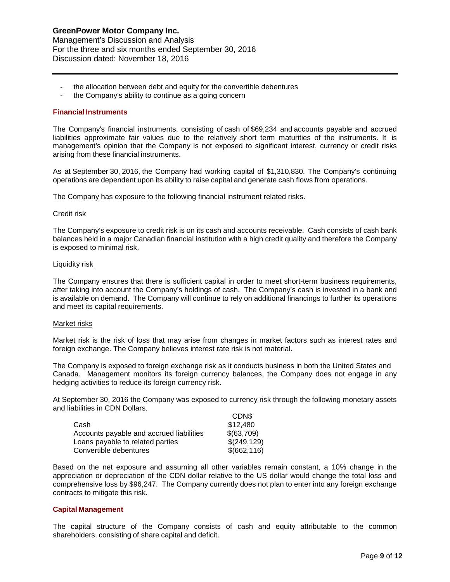- the allocation between debt and equity for the convertible debentures
- the Company's ability to continue as a going concern

#### **Financial Instruments**

The Company's financial instruments, consisting of cash of \$69,234 and accounts payable and accrued liabilities approximate fair values due to the relatively short term maturities of the instruments. It is management's opinion that the Company is not exposed to significant interest, currency or credit risks arising from these financial instruments.

As at September 30, 2016, the Company had working capital of \$1,310,830. The Company's continuing operations are dependent upon its ability to raise capital and generate cash flows from operations.

The Company has exposure to the following financial instrument related risks.

#### Credit risk

The Company's exposure to credit risk is on its cash and accounts receivable. Cash consists of cash bank balances held in a major Canadian financial institution with a high credit quality and therefore the Company is exposed to minimal risk.

#### Liquidity risk

The Company ensures that there is sufficient capital in order to meet short-term business requirements, after taking into account the Company's holdings of cash. The Company's cash is invested in a bank and is available on demand. The Company will continue to rely on additional financings to further its operations and meet its capital requirements.

#### Market risks

Market risk is the risk of loss that may arise from changes in market factors such as interest rates and foreign exchange. The Company believes interest rate risk is not material.

The Company is exposed to foreign exchange risk as it conducts business in both the United States and Canada. Management monitors its foreign currency balances, the Company does not engage in any hedging activities to reduce its foreign currency risk.

At September 30, 2016 the Company was exposed to currency risk through the following monetary assets and liabilities in CDN Dollars.  $\sim$ 

|                                          | <b>CDNS</b>  |
|------------------------------------------|--------------|
| Cash                                     | \$12,480     |
| Accounts payable and accrued liabilities | \$(63,709)   |
| Loans payable to related parties         | \$(249, 129) |
| Convertible debentures                   | \$(662, 116) |

Based on the net exposure and assuming all other variables remain constant, a 10% change in the appreciation or depreciation of the CDN dollar relative to the US dollar would change the total loss and comprehensive loss by \$96,247. The Company currently does not plan to enter into any foreign exchange contracts to mitigate this risk.

#### **Capital Management**

The capital structure of the Company consists of cash and equity attributable to the common shareholders, consisting of share capital and deficit.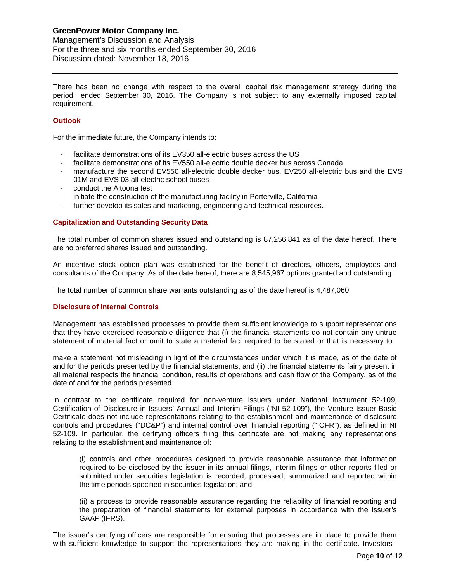Management's Discussion and Analysis For the three and six months ended September 30, 2016 Discussion dated: November 18, 2016

There has been no change with respect to the overall capital risk management strategy during the period ended September 30, 2016. The Company is not subject to any externally imposed capital requirement.

# **Outlook**

For the immediate future, the Company intends to:

- facilitate demonstrations of its EV350 all-electric buses across the US
- facilitate demonstrations of its EV550 all-electric double decker bus across Canada
- manufacture the second EV550 all-electric double decker bus, EV250 all-electric bus and the EVS 01M and EVS 03 all-electric school buses
- conduct the Altoona test
- initiate the construction of the manufacturing facility in Porterville, California
- further develop its sales and marketing, engineering and technical resources.

# **Capitalization and Outstanding Security Data**

The total number of common shares issued and outstanding is 87,256,841 as of the date hereof. There are no preferred shares issued and outstanding.

An incentive stock option plan was established for the benefit of directors, officers, employees and consultants of the Company. As of the date hereof, there are 8,545,967 options granted and outstanding.

The total number of common share warrants outstanding as of the date hereof is 4,487,060.

# **Disclosure of Internal Controls**

Management has established processes to provide them sufficient knowledge to support representations that they have exercised reasonable diligence that (i) the financial statements do not contain any untrue statement of material fact or omit to state a material fact required to be stated or that is necessary to

make a statement not misleading in light of the circumstances under which it is made, as of the date of and for the periods presented by the financial statements, and (ii) the financial statements fairly present in all material respects the financial condition, results of operations and cash flow of the Company, as of the date of and for the periods presented.

In contrast to the certificate required for non-venture issuers under National Instrument 52-109, Certification of Disclosure in Issuers' Annual and Interim Filings ("NI 52-109"), the Venture Issuer Basic Certificate does not include representations relating to the establishment and maintenance of disclosure controls and procedures ("DC&P") and internal control over financial reporting ("ICFR"), as defined in NI 52-109. In particular, the certifying officers filing this certificate are not making any representations relating to the establishment and maintenance of:

(i) controls and other procedures designed to provide reasonable assurance that information required to be disclosed by the issuer in its annual filings, interim filings or other reports filed or submitted under securities legislation is recorded, processed, summarized and reported within the time periods specified in securities legislation; and

(ii) a process to provide reasonable assurance regarding the reliability of financial reporting and the preparation of financial statements for external purposes in accordance with the issuer's GAAP (IFRS).

The issuer's certifying officers are responsible for ensuring that processes are in place to provide them with sufficient knowledge to support the representations they are making in the certificate. Investors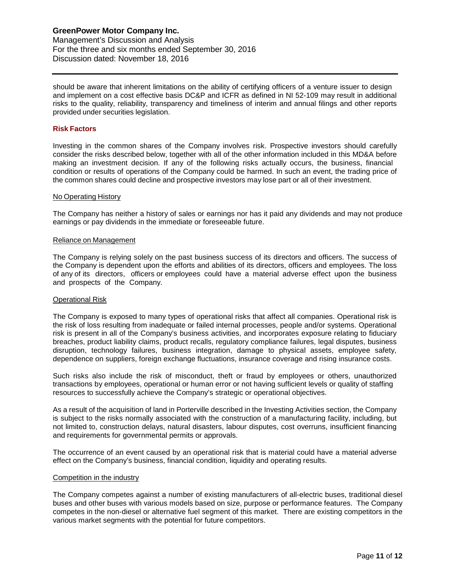should be aware that inherent limitations on the ability of certifying officers of a venture issuer to design and implement on a cost effective basis DC&P and ICFR as defined in NI 52-109 may result in additional risks to the quality, reliability, transparency and timeliness of interim and annual filings and other reports provided under securities legislation.

## **Risk Factors**

Investing in the common shares of the Company involves risk. Prospective investors should carefully consider the risks described below, together with all of the other information included in this MD&A before making an investment decision. If any of the following risks actually occurs, the business, financial condition or results of operations of the Company could be harmed. In such an event, the trading price of the common shares could decline and prospective investors may lose part or all of their investment.

#### No Operating History

The Company has neither a history of sales or earnings nor has it paid any dividends and may not produce earnings or pay dividends in the immediate or foreseeable future.

#### Reliance on Management

The Company is relying solely on the past business success of its directors and officers. The success of the Company is dependent upon the efforts and abilities of its directors, officers and employees. The loss of any of its directors, officers or employees could have a material adverse effect upon the business and prospects of the Company.

#### Operational Risk

The Company is exposed to many types of operational risks that affect all companies. Operational risk is the risk of loss resulting from inadequate or failed internal processes, people and/or systems. Operational risk is present in all of the Company's business activities, and incorporates exposure relating to fiduciary breaches, product liability claims, product recalls, regulatory compliance failures, legal disputes, business disruption, technology failures, business integration, damage to physical assets, employee safety, dependence on suppliers, foreign exchange fluctuations, insurance coverage and rising insurance costs.

Such risks also include the risk of misconduct, theft or fraud by employees or others, unauthorized transactions by employees, operational or human error or not having sufficient levels or quality of staffing resources to successfully achieve the Company's strategic or operational objectives.

As a result of the acquisition of land in Porterville described in the Investing Activities section, the Company is subject to the risks normally associated with the construction of a manufacturing facility, including, but not limited to, construction delays, natural disasters, labour disputes, cost overruns, insufficient financing and requirements for governmental permits or approvals.

The occurrence of an event caused by an operational risk that is material could have a material adverse effect on the Company's business, financial condition, liquidity and operating results.

#### Competition in the industry

The Company competes against a number of existing manufacturers of all-electric buses, traditional diesel buses and other buses with various models based on size, purpose or performance features. The Company competes in the non-diesel or alternative fuel segment of this market. There are existing competitors in the various market segments with the potential for future competitors.